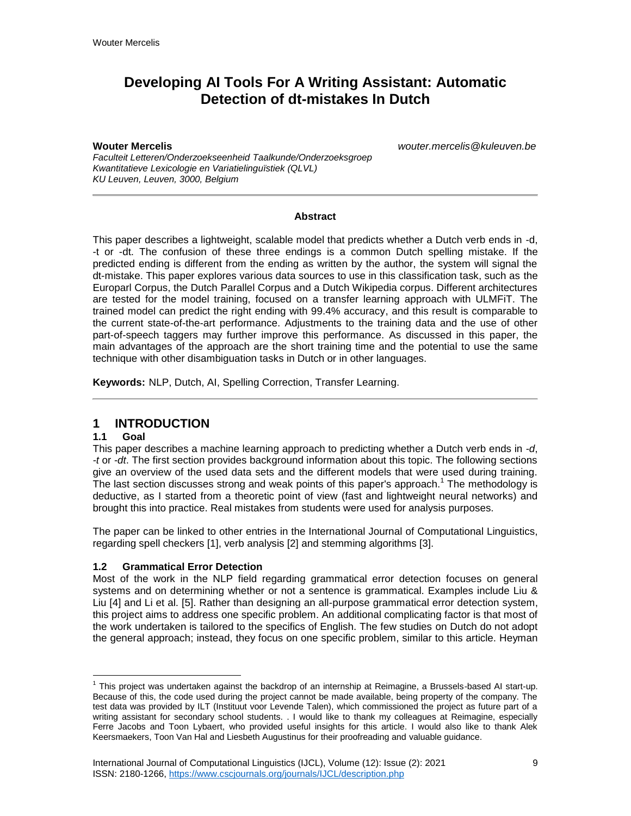# **Developing AI Tools For A Writing Assistant: Automatic Detection of dt-mistakes In Dutch**

**Wouter Mercelis** *wouter.mercelis@kuleuven.be*

*Faculteit Letteren/Onderzoekseenheid Taalkunde/Onderzoeksgroep Kwantitatieve Lexicologie en Variatielinguïstiek (QLVL) KU Leuven, Leuven, 3000, Belgium*

#### **Abstract**

This paper describes a lightweight, scalable model that predicts whether a Dutch verb ends in -d, -t or -dt. The confusion of these three endings is a common Dutch spelling mistake. If the predicted ending is different from the ending as written by the author, the system will signal the dt-mistake. This paper explores various data sources to use in this classification task, such as the Europarl Corpus, the Dutch Parallel Corpus and a Dutch Wikipedia corpus. Different architectures are tested for the model training, focused on a transfer learning approach with ULMFiT. The trained model can predict the right ending with 99.4% accuracy, and this result is comparable to the current state-of-the-art performance. Adjustments to the training data and the use of other part-of-speech taggers may further improve this performance. As discussed in this paper, the main advantages of the approach are the short training time and the potential to use the same technique with other disambiguation tasks in Dutch or in other languages.

**Keywords:** NLP, Dutch, AI, Spelling Correction, Transfer Learning.

## **1 INTRODUCTION**

### **1.1 Goal**

This paper describes a machine learning approach to predicting whether a Dutch verb ends in *-d*, *-t* or *-dt*. The first section provides background information about this topic. The following sections give an overview of the used data sets and the different models that were used during training. The last section discusses strong and weak points of this paper's approach.<sup>1</sup> The methodology is deductive, as I started from a theoretic point of view (fast and lightweight neural networks) and brought this into practice. Real mistakes from students were used for analysis purposes.

The paper can be linked to other entries in the International Journal of Computational Linguistics, regarding spell checkers [1], verb analysis [2] and stemming algorithms [3].

### **1.2 Grammatical Error Detection**

Most of the work in the NLP field regarding grammatical error detection focuses on general systems and on determining whether or not a sentence is grammatical. Examples include Liu & Liu [4] and Li et al. [5]. Rather than designing an all-purpose grammatical error detection system, this project aims to address one specific problem. An additional complicating factor is that most of the work undertaken is tailored to the specifics of English. The few studies on Dutch do not adopt the general approach; instead, they focus on one specific problem, similar to this article. Heyman

 $\overline{a}$ <sup>1</sup> This project was undertaken against the backdrop of an internship at Reimagine, a Brussels-based AI start-up. Because of this, the code used during the project cannot be made available, being property of the company. The test data was provided by ILT (Instituut voor Levende Talen), which commissioned the project as future part of a writing assistant for secondary school students. . I would like to thank my colleagues at Reimagine, especially Ferre Jacobs and Toon Lybaert, who provided useful insights for this article. I would also like to thank Alek Keersmaekers, Toon Van Hal and Liesbeth Augustinus for their proofreading and valuable guidance.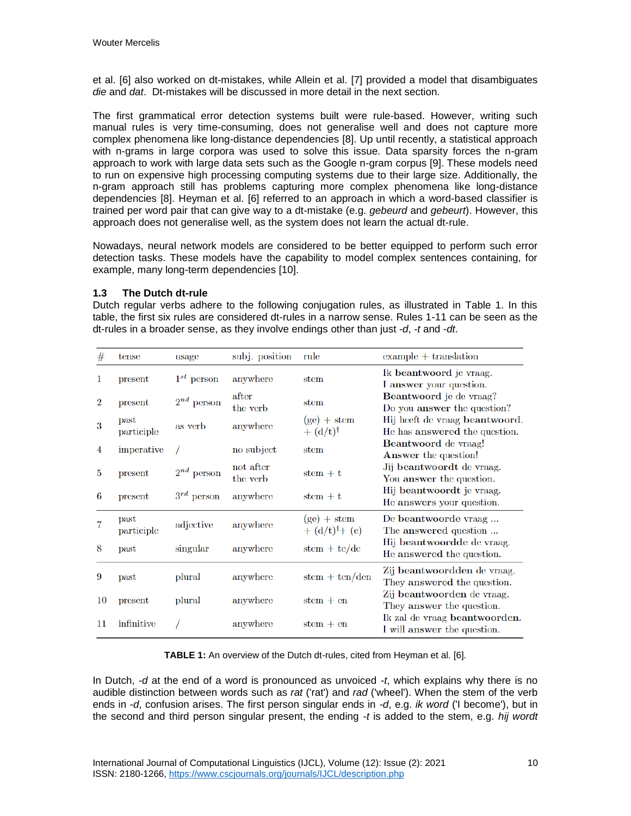et al. [6] also worked on dt-mistakes, while Allein et al. [7] provided a model that disambiguates *die* and *dat*. Dt-mistakes will be discussed in more detail in the next section.

The first grammatical error detection systems built were rule-based. However, writing such manual rules is very time-consuming, does not generalise well and does not capture more complex phenomena like long-distance dependencies [8]. Up until recently, a statistical approach with n-grams in large corpora was used to solve this issue. Data sparsity forces the n-gram approach to work with large data sets such as the Google n-gram corpus [9]. These models need to run on expensive high processing computing systems due to their large size. Additionally, the n-gram approach still has problems capturing more complex phenomena like long-distance dependencies [8]. Heyman et al. [6] referred to an approach in which a word-based classifier is trained per word pair that can give way to a dt-mistake (e.g. *gebeurd* and *gebeurt*). However, this approach does not generalise well, as the system does not learn the actual dt-rule.

Nowadays, neural network models are considered to be better equipped to perform such error detection tasks. These models have the capability to model complex sentences containing, for example, many long-term dependencies [10].

### **1.3 The Dutch dt-rule**

Dutch regular verbs adhere to the following conjugation rules, as illustrated in Table 1. In this table, the first six rules are considered dt-rules in a narrow sense. Rules 1-11 can be seen as the dt-rules in a broader sense, as they involve endings other than just *-d*, *-t* and *-dt*.

| #              | tense                       | usage           | subj. position        | rule                                       | $\alpha$ example $+$ translation                                |
|----------------|-----------------------------|-----------------|-----------------------|--------------------------------------------|-----------------------------------------------------------------|
| 1              | present                     | $1^{st}$ person | anywhere              | stem                                       | Ik beantwoord je vraag.<br>I answer your question.              |
| $\overline{2}$ | present                     | $2^{nd}$ person | after<br>the verb     | stem                                       | Beantwoord je de vraag?<br>Do you answer the question?          |
| 3              | past<br>participle          | as verb         | anywhere              | $(ge) + stem$<br>$+ (d/t)^{\dagger}$       | Hij heeft de vraag beantwoord.<br>He has answered the question. |
| 4              | imperative                  |                 | no subject            | stem                                       | Beantwoord de vraag!<br><b>Answer</b> the question!             |
| 5              | present                     | $2^{nd}$ person | not after<br>the verb | $stem + t$                                 | Jij beantwoordt de vraag.<br>You answer the question.           |
| 6              | present                     | $3^{rd}$ person | anywhere              | $stem + t$                                 | Hij beantwoordt je vraag.<br>He answers your question.          |
| 7              | $_{\rm past}$<br>participle | adjective       | anywhere              | $(ge) + stem$<br>$+ (d/t)^{\dagger} + (e)$ | De beantwoorde vraag<br>The answered question                   |
| 8              | past                        | singular        | anywhere              | $stem + te/de$                             | Hij beantwoordde de vraag.<br>He answered the question.         |
| 9              | past                        | plural          | anywhere              | $stem + ten/den$                           | Zij beantwoordden de vraag.<br>They answered the question.      |
| 10             | present                     | plural          | anywhere              | $stem + en$                                | Zij beantwoorden de vraag.<br>They answer the question.         |
| 11             | infinitive                  |                 | anywhere              | $stem + en$                                | Ik zal de vraag beantwoorden.<br>I will answer the question.    |

**TABLE 1:** An overview of the Dutch dt-rules, cited from Heyman et al. [6].

In Dutch, *-d* at the end of a word is pronounced as unvoiced *-t*, which explains why there is no audible distinction between words such as *rat* ('rat') and *rad* ('wheel'). When the stem of the verb ends in *-d*, confusion arises. The first person singular ends in *-d*, e.g. *ik word* ('I become'), but in the second and third person singular present, the ending *-t* is added to the stem, e.g. *hij wordt*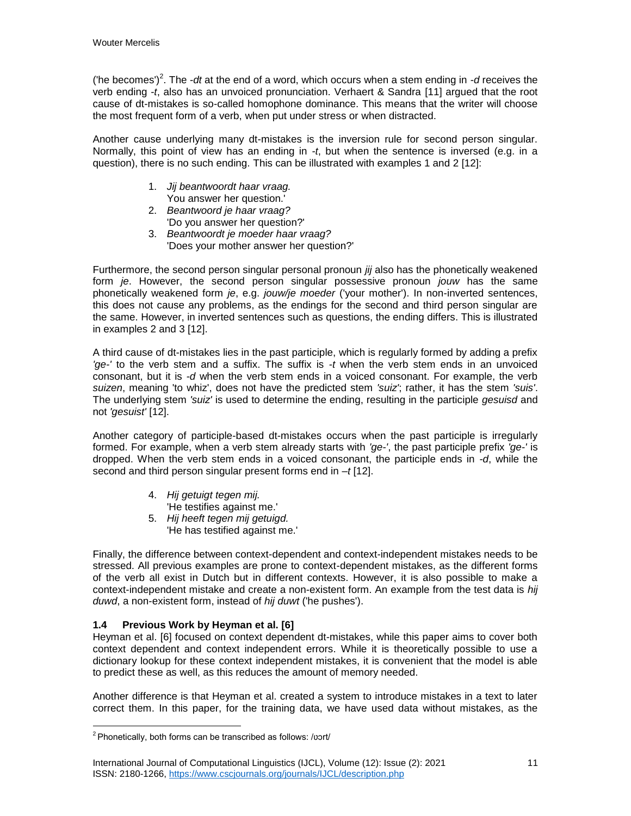('he becomes')<sup>2</sup>. The *-dt* at the end of a word, which occurs when a stem ending in *-d* receives the verb ending *-t*, also has an unvoiced pronunciation. Verhaert & Sandra [11] argued that the root cause of dt-mistakes is so-called homophone dominance. This means that the writer will choose the most frequent form of a verb, when put under stress or when distracted.

Another cause underlying many dt-mistakes is the inversion rule for second person singular. Normally, this point of view has an ending in *-t*, but when the sentence is inversed (e.g. in a question), there is no such ending. This can be illustrated with examples 1 and 2 [12]:

- 1. *Jij beantwoordt haar vraag.*  You answer her question.'
- 2. *Beantwoord je haar vraag?*

'Do you answer her question?'

3. *Beantwoordt je moeder haar vraag?*  'Does your mother answer her question?'

Furthermore, the second person singular personal pronoun *jij* also has the phonetically weakened form *je*. However, the second person singular possessive pronoun *jouw* has the same phonetically weakened form *je*, e.g. *jouw/je moeder* ('your mother'). In non-inverted sentences, this does not cause any problems, as the endings for the second and third person singular are the same. However, in inverted sentences such as questions, the ending differs. This is illustrated in examples 2 and 3 [12].

A third cause of dt-mistakes lies in the past participle, which is regularly formed by adding a prefix *'ge-'* to the verb stem and a suffix. The suffix is *-t* when the verb stem ends in an unvoiced consonant, but it is *-d* when the verb stem ends in a voiced consonant. For example, the verb *suizen*, meaning 'to whiz', does not have the predicted stem *'suiz'*; rather, it has the stem *'suis'*. The underlying stem *'suiz'* is used to determine the ending, resulting in the participle *gesuisd* and not *'gesuist'* [12].

Another category of participle-based dt-mistakes occurs when the past participle is irregularly formed. For example, when a verb stem already starts with *'ge-'*, the past participle prefix *'ge-'* is dropped. When the verb stem ends in a voiced consonant, the participle ends in *-d*, while the second and third person singular present forms end in *–t* [12].

- 4. *Hij getuigt tegen mij.*  'He testifies against me.'
- 5. *Hij heeft tegen mij getuigd.*  'He has testified against me.'

Finally, the difference between context-dependent and context-independent mistakes needs to be stressed. All previous examples are prone to context-dependent mistakes, as the different forms of the verb all exist in Dutch but in different contexts. However, it is also possible to make a context-independent mistake and create a non-existent form. An example from the test data is *hij duwd*, a non-existent form, instead of *hij duwt* ('he pushes').

## **1.4 Previous Work by Heyman et al. [6]**

 $\overline{a}$ 

Heyman et al. [6] focused on context dependent dt-mistakes, while this paper aims to cover both context dependent and context independent errors. While it is theoretically possible to use a dictionary lookup for these context independent mistakes, it is convenient that the model is able to predict these as well, as this reduces the amount of memory needed.

Another difference is that Heyman et al. created a system to introduce mistakes in a text to later correct them. In this paper, for the training data, we have used data without mistakes, as the

 $2$  Phonetically, both forms can be transcribed as follows: /vort/

International Journal of Computational Linguistics (IJCL), Volume (12): Issue (2): 2021 11 ISSN: 2180-1266, https://www.cscjournals.org/journals/IJCL/description.php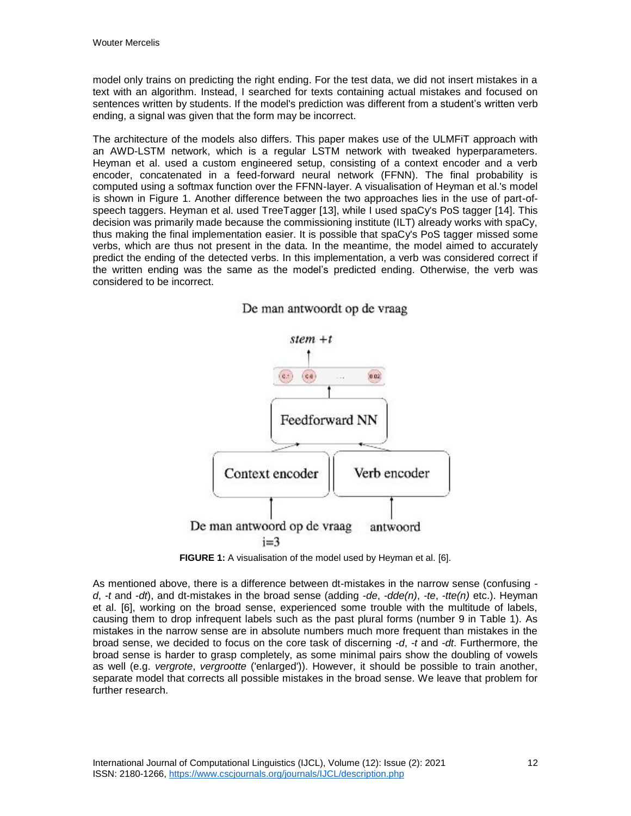model only trains on predicting the right ending. For the test data, we did not insert mistakes in a text with an algorithm. Instead, I searched for texts containing actual mistakes and focused on sentences written by students. If the model's prediction was different from a student's written verb ending, a signal was given that the form may be incorrect.

The architecture of the models also differs. This paper makes use of the ULMFiT approach with an AWD-LSTM network, which is a regular LSTM network with tweaked hyperparameters. Heyman et al. used a custom engineered setup, consisting of a context encoder and a verb encoder, concatenated in a feed-forward neural network (FFNN). The final probability is computed using a softmax function over the FFNN-layer. A visualisation of Heyman et al.'s model is shown in Figure 1. Another difference between the two approaches lies in the use of part-ofspeech taggers. Heyman et al. used TreeTagger [13], while I used spaCy's PoS tagger [14]. This decision was primarily made because the commissioning institute (ILT) already works with spaCy, thus making the final implementation easier. It is possible that spaCy's PoS tagger missed some verbs, which are thus not present in the data. In the meantime, the model aimed to accurately predict the ending of the detected verbs. In this implementation, a verb was considered correct if the written ending was the same as the model's predicted ending. Otherwise, the verb was considered to be incorrect.



De man antwoordt op de vraag

**FIGURE 1:** A visualisation of the model used by Heyman et al. [6].

As mentioned above, there is a difference between dt-mistakes in the narrow sense (confusing  *d*, *-t* and *-dt*), and dt-mistakes in the broad sense (adding *-de*, *-dde(n)*, *-te*, *-tte(n)* etc.). Heyman et al. [6], working on the broad sense, experienced some trouble with the multitude of labels, causing them to drop infrequent labels such as the past plural forms (number 9 in Table 1). As mistakes in the narrow sense are in absolute numbers much more frequent than mistakes in the broad sense, we decided to focus on the core task of discerning *-d*, *-t* and *-dt*. Furthermore, the broad sense is harder to grasp completely, as some minimal pairs show the doubling of vowels as well (e.g. *vergrote*, *vergrootte* ('enlarged')). However, it should be possible to train another, separate model that corrects all possible mistakes in the broad sense. We leave that problem for further research.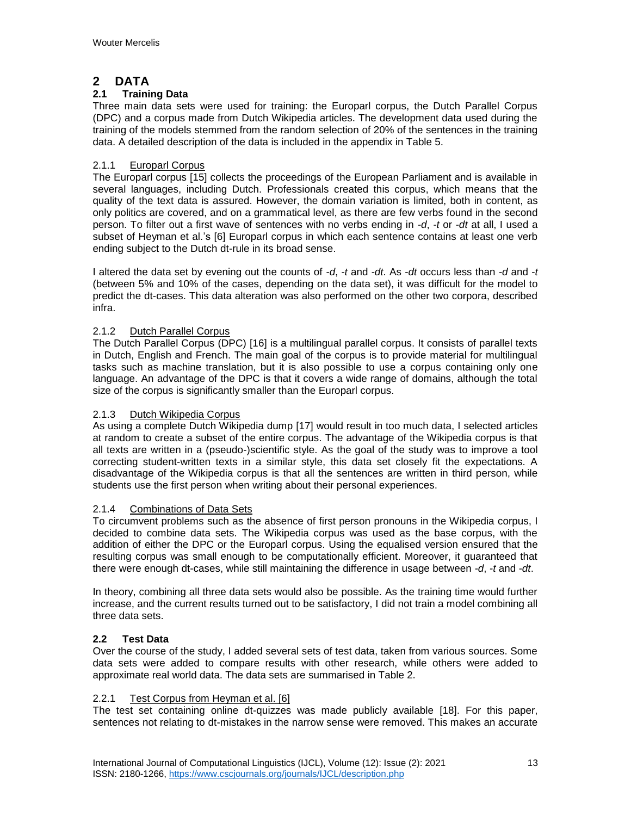## **2 DATA**

## **2.1 Training Data**

Three main data sets were used for training: the Europarl corpus, the Dutch Parallel Corpus (DPC) and a corpus made from Dutch Wikipedia articles. The development data used during the training of the models stemmed from the random selection of 20% of the sentences in the training data. A detailed description of the data is included in the appendix in Table 5.

### 2.1.1 Europarl Corpus

The Europarl corpus [15] collects the proceedings of the European Parliament and is available in several languages, including Dutch. Professionals created this corpus, which means that the quality of the text data is assured. However, the domain variation is limited, both in content, as only politics are covered, and on a grammatical level, as there are few verbs found in the second person. To filter out a first wave of sentences with no verbs ending in *-d*, *-t* or *-dt* at all, I used a subset of Heyman et al.'s [6] Europarl corpus in which each sentence contains at least one verb ending subject to the Dutch dt-rule in its broad sense.

I altered the data set by evening out the counts of *-d*, *-t* and *-dt*. As *-dt* occurs less than *-d* and *-t* (between 5% and 10% of the cases, depending on the data set), it was difficult for the model to predict the dt-cases. This data alteration was also performed on the other two corpora, described infra.

### 2.1.2 Dutch Parallel Corpus

The Dutch Parallel Corpus (DPC) [16] is a multilingual parallel corpus. It consists of parallel texts in Dutch, English and French. The main goal of the corpus is to provide material for multilingual tasks such as machine translation, but it is also possible to use a corpus containing only one language. An advantage of the DPC is that it covers a wide range of domains, although the total size of the corpus is significantly smaller than the Europarl corpus.

### 2.1.3 Dutch Wikipedia Corpus

As using a complete Dutch Wikipedia dump [17] would result in too much data, I selected articles at random to create a subset of the entire corpus. The advantage of the Wikipedia corpus is that all texts are written in a (pseudo-)scientific style. As the goal of the study was to improve a tool correcting student-written texts in a similar style, this data set closely fit the expectations. A disadvantage of the Wikipedia corpus is that all the sentences are written in third person, while students use the first person when writing about their personal experiences.

### 2.1.4 Combinations of Data Sets

To circumvent problems such as the absence of first person pronouns in the Wikipedia corpus, I decided to combine data sets. The Wikipedia corpus was used as the base corpus, with the addition of either the DPC or the Europarl corpus. Using the equalised version ensured that the resulting corpus was small enough to be computationally efficient. Moreover, it guaranteed that there were enough dt-cases, while still maintaining the difference in usage between *-d*, *-t* and *-dt*.

In theory, combining all three data sets would also be possible. As the training time would further increase, and the current results turned out to be satisfactory, I did not train a model combining all three data sets.

### **2.2 Test Data**

Over the course of the study, I added several sets of test data, taken from various sources. Some data sets were added to compare results with other research, while others were added to approximate real world data. The data sets are summarised in Table 2.

### 2.2.1 Test Corpus from Heyman et al. [6]

The test set containing online dt-quizzes was made publicly available [18]. For this paper, sentences not relating to dt-mistakes in the narrow sense were removed. This makes an accurate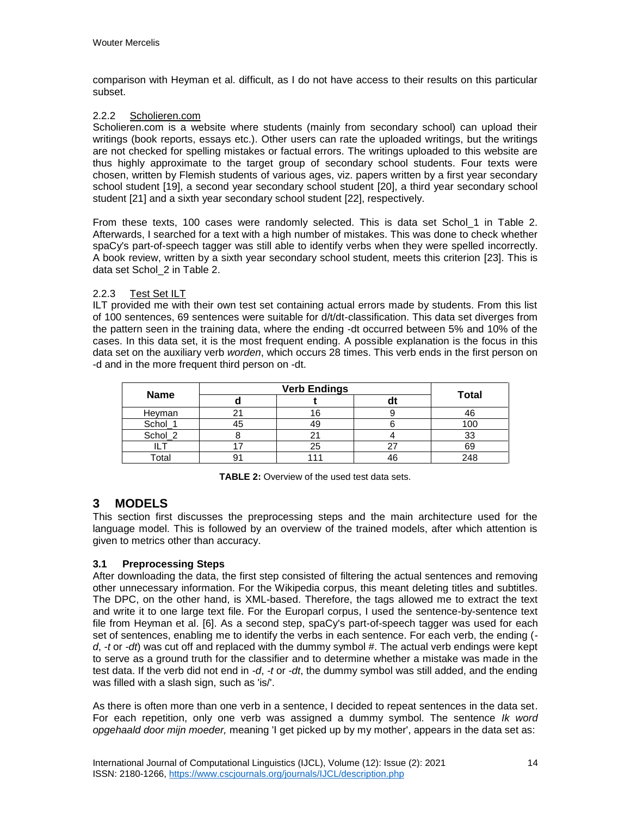comparison with Heyman et al. difficult, as I do not have access to their results on this particular subset.

## 2.2.2 Scholieren.com

Scholieren.com is a website where students (mainly from secondary school) can upload their writings (book reports, essays etc.). Other users can rate the uploaded writings, but the writings are not checked for spelling mistakes or factual errors. The writings uploaded to this website are thus highly approximate to the target group of secondary school students. Four texts were chosen, written by Flemish students of various ages, viz. papers written by a first year secondary school student [19], a second year secondary school student [20], a third year secondary school student [21] and a sixth year secondary school student [22], respectively.

From these texts, 100 cases were randomly selected. This is data set Schol\_1 in Table 2. Afterwards, I searched for a text with a high number of mistakes. This was done to check whether spaCy's part-of-speech tagger was still able to identify verbs when they were spelled incorrectly. A book review, written by a sixth year secondary school student, meets this criterion [23]. This is data set Schol\_2 in Table 2.

## 2.2.3 Test Set ILT

ILT provided me with their own test set containing actual errors made by students. From this list of 100 sentences, 69 sentences were suitable for d/t/dt-classification. This data set diverges from the pattern seen in the training data, where the ending -dt occurred between 5% and 10% of the cases. In this data set, it is the most frequent ending. A possible explanation is the focus in this data set on the auxiliary verb *worden*, which occurs 28 times. This verb ends in the first person on -d and in the more frequent third person on -dt.

| <b>Name</b>  |  |    | <b>Total</b> |
|--------------|--|----|--------------|
| Heyman       |  |    |              |
| Schol_       |  |    |              |
| Schol_2      |  |    |              |
|              |  |    | 69           |
| <b>Total</b> |  | 4τ | 248          |

**TABLE 2:** Overview of the used test data sets.

## **3 MODELS**

This section first discusses the preprocessing steps and the main architecture used for the language model. This is followed by an overview of the trained models, after which attention is given to metrics other than accuracy.

## **3.1 Preprocessing Steps**

After downloading the data, the first step consisted of filtering the actual sentences and removing other unnecessary information. For the Wikipedia corpus, this meant deleting titles and subtitles. The DPC, on the other hand, is XML-based. Therefore, the tags allowed me to extract the text and write it to one large text file. For the Europarl corpus, I used the sentence-by-sentence text file from Heyman et al. [6]. As a second step, spaCy's part-of-speech tagger was used for each set of sentences, enabling me to identify the verbs in each sentence. For each verb, the ending ( *d*, *-t* or *-dt*) was cut off and replaced with the dummy symbol #. The actual verb endings were kept to serve as a ground truth for the classifier and to determine whether a mistake was made in the test data. If the verb did not end in *-d*, *-t* or *-dt*, the dummy symbol was still added, and the ending was filled with a slash sign, such as 'is/'.

As there is often more than one verb in a sentence, I decided to repeat sentences in the data set. For each repetition, only one verb was assigned a dummy symbol. The sentence *Ik word opgehaald door mijn moeder,* meaning 'I get picked up by my mother', appears in the data set as: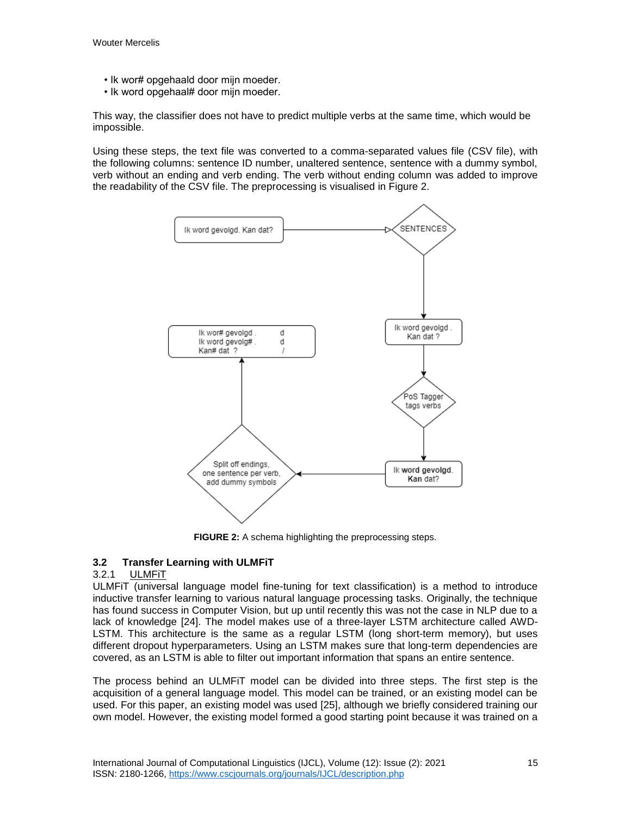- Ik wor# opgehaald door mijn moeder.
- Ik word opgehaal# door mijn moeder.

This way, the classifier does not have to predict multiple verbs at the same time, which would be impossible.

Using these steps, the text file was converted to a comma-separated values file (CSV file), with the following columns: sentence ID number, unaltered sentence, sentence with a dummy symbol, verb without an ending and verb ending. The verb without ending column was added to improve the readability of the CSV file. The preprocessing is visualised in Figure 2.



**FIGURE 2:** A schema highlighting the preprocessing steps.

### **3.2 Transfer Learning with ULMFiT**

### 3.2.1 ULMFiT

ULMFiT (universal language model fine-tuning for text classification) is a method to introduce inductive transfer learning to various natural language processing tasks. Originally, the technique has found success in Computer Vision, but up until recently this was not the case in NLP due to a lack of knowledge [24]. The model makes use of a three-layer LSTM architecture called AWD-LSTM. This architecture is the same as a regular LSTM (long short-term memory), but uses different dropout hyperparameters. Using an LSTM makes sure that long-term dependencies are covered, as an LSTM is able to filter out important information that spans an entire sentence.

The process behind an ULMFiT model can be divided into three steps. The first step is the acquisition of a general language model. This model can be trained, or an existing model can be used. For this paper, an existing model was used [25], although we briefly considered training our own model. However, the existing model formed a good starting point because it was trained on a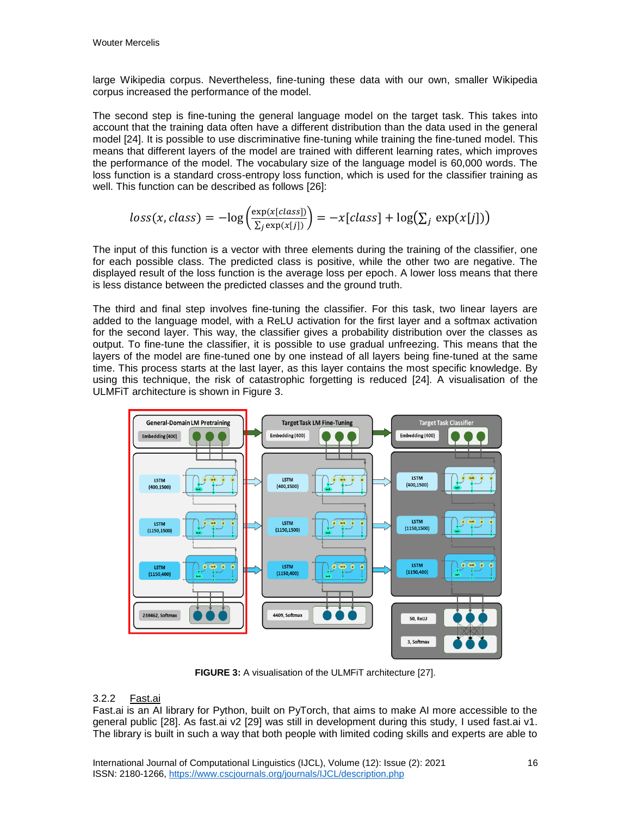large Wikipedia corpus. Nevertheless, fine-tuning these data with our own, smaller Wikipedia corpus increased the performance of the model.

The second step is fine-tuning the general language model on the target task. This takes into account that the training data often have a different distribution than the data used in the general model [24]. It is possible to use discriminative fine-tuning while training the fine-tuned model. This means that different layers of the model are trained with different learning rates, which improves the performance of the model. The vocabulary size of the language model is 60,000 words. The loss function is a standard cross-entropy loss function, which is used for the classifier training as well. This function can be described as follows [26]:

$$
loss(x, class) = -\log\left(\frac{\exp(x[class])}{\sum_j \exp(x[j])}\right) = -x[class] + \log(\sum_j \exp(x[j]))
$$

The input of this function is a vector with three elements during the training of the classifier, one for each possible class. The predicted class is positive, while the other two are negative. The displayed result of the loss function is the average loss per epoch. A lower loss means that there is less distance between the predicted classes and the ground truth.

The third and final step involves fine-tuning the classifier. For this task, two linear layers are added to the language model, with a ReLU activation for the first layer and a softmax activation for the second layer. This way, the classifier gives a probability distribution over the classes as output. To fine-tune the classifier, it is possible to use gradual unfreezing. This means that the layers of the model are fine-tuned one by one instead of all layers being fine-tuned at the same time. This process starts at the last layer, as this layer contains the most specific knowledge. By using this technique, the risk of catastrophic forgetting is reduced [24]. A visualisation of the ULMFiT architecture is shown in Figure 3.



**FIGURE 3:** A visualisation of the ULMFiT architecture [27].

### 3.2.2 Fast.ai

Fast.ai is an AI library for Python, built on PyTorch, that aims to make AI more accessible to the general public [28]. As fast.ai v2 [29] was still in development during this study, I used fast.ai v1. The library is built in such a way that both people with limited coding skills and experts are able to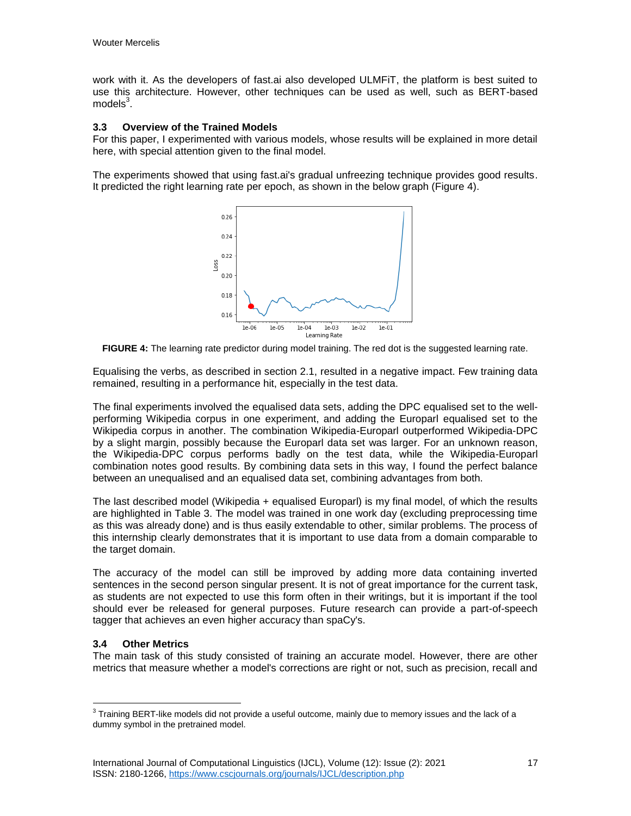work with it. As the developers of fast.ai also developed ULMFiT, the platform is best suited to use this architecture. However, other techniques can be used as well, such as BERT-based models $^3$ .

### **3.3 Overview of the Trained Models**

For this paper, I experimented with various models, whose results will be explained in more detail here, with special attention given to the final model.

The experiments showed that using fast.ai's gradual unfreezing technique provides good results. It predicted the right learning rate per epoch, as shown in the below graph (Figure 4).



**FIGURE 4:** The learning rate predictor during model training. The red dot is the suggested learning rate.

Equalising the verbs, as described in section 2.1, resulted in a negative impact. Few training data remained, resulting in a performance hit, especially in the test data.

The final experiments involved the equalised data sets, adding the DPC equalised set to the wellperforming Wikipedia corpus in one experiment, and adding the Europarl equalised set to the Wikipedia corpus in another. The combination Wikipedia-Europarl outperformed Wikipedia-DPC by a slight margin, possibly because the Europarl data set was larger. For an unknown reason, the Wikipedia-DPC corpus performs badly on the test data, while the Wikipedia-Europarl combination notes good results. By combining data sets in this way, I found the perfect balance between an unequalised and an equalised data set, combining advantages from both.

The last described model (Wikipedia + equalised Europarl) is my final model, of which the results are highlighted in Table 3. The model was trained in one work day (excluding preprocessing time as this was already done) and is thus easily extendable to other, similar problems. The process of this internship clearly demonstrates that it is important to use data from a domain comparable to the target domain.

The accuracy of the model can still be improved by adding more data containing inverted sentences in the second person singular present. It is not of great importance for the current task, as students are not expected to use this form often in their writings, but it is important if the tool should ever be released for general purposes. Future research can provide a part-of-speech tagger that achieves an even higher accuracy than spaCy's.

### **3.4 Other Metrics**

 $\overline{a}$ 

The main task of this study consisted of training an accurate model. However, there are other metrics that measure whether a model's corrections are right or not, such as precision, recall and

 $3$  Training BERT-like models did not provide a useful outcome, mainly due to memory issues and the lack of a dummy symbol in the pretrained model.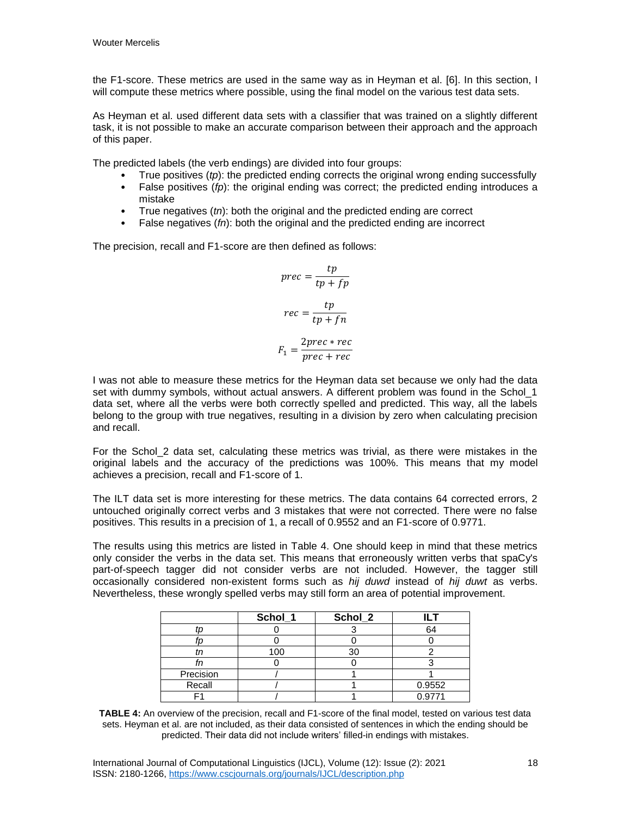the F1-score. These metrics are used in the same way as in Heyman et al. [6]. In this section, I will compute these metrics where possible, using the final model on the various test data sets.

As Heyman et al. used different data sets with a classifier that was trained on a slightly different task, it is not possible to make an accurate comparison between their approach and the approach of this paper.

The predicted labels (the verb endings) are divided into four groups:

- True positives (*tp*): the predicted ending corrects the original wrong ending successfully
- False positives (*fp*): the original ending was correct; the predicted ending introduces a mistake
- True negatives (*tn*): both the original and the predicted ending are correct
- False negatives (*fn*): both the original and the predicted ending are incorrect

The precision, recall and F1-score are then defined as follows:

$$
prec = \frac{tp}{tp + fp}
$$

$$
rec = \frac{tp}{tp + fn}
$$

$$
F_1 = \frac{2prec + rec}{prec + rec}
$$

I was not able to measure these metrics for the Heyman data set because we only had the data set with dummy symbols, without actual answers. A different problem was found in the Schol 1 data set, where all the verbs were both correctly spelled and predicted. This way, all the labels belong to the group with true negatives, resulting in a division by zero when calculating precision and recall.

For the Schol\_2 data set, calculating these metrics was trivial, as there were mistakes in the original labels and the accuracy of the predictions was 100%. This means that my model achieves a precision, recall and F1-score of 1.

The ILT data set is more interesting for these metrics. The data contains 64 corrected errors, 2 untouched originally correct verbs and 3 mistakes that were not corrected. There were no false positives. This results in a precision of 1, a recall of 0.9552 and an F1-score of 0.9771.

The results using this metrics are listed in Table 4. One should keep in mind that these metrics only consider the verbs in the data set. This means that erroneously written verbs that spaCy's part-of-speech tagger did not consider verbs are not included. However, the tagger still occasionally considered non-existent forms such as *hij duwd* instead of *hij duwt* as verbs. Nevertheless, these wrongly spelled verbs may still form an area of potential improvement.

|           | Schol_1 | Schol_2 |        |
|-----------|---------|---------|--------|
|           |         |         | 64     |
|           |         |         |        |
|           | 100     |         |        |
|           |         |         |        |
| Precision |         |         |        |
| Recall    |         |         | 0.9552 |
|           |         |         | 0.9771 |

**TABLE 4:** An overview of the precision, recall and F1-score of the final model, tested on various test data sets. Heyman et al. are not included, as their data consisted of sentences in which the ending should be predicted. Their data did not include writers' filled-in endings with mistakes.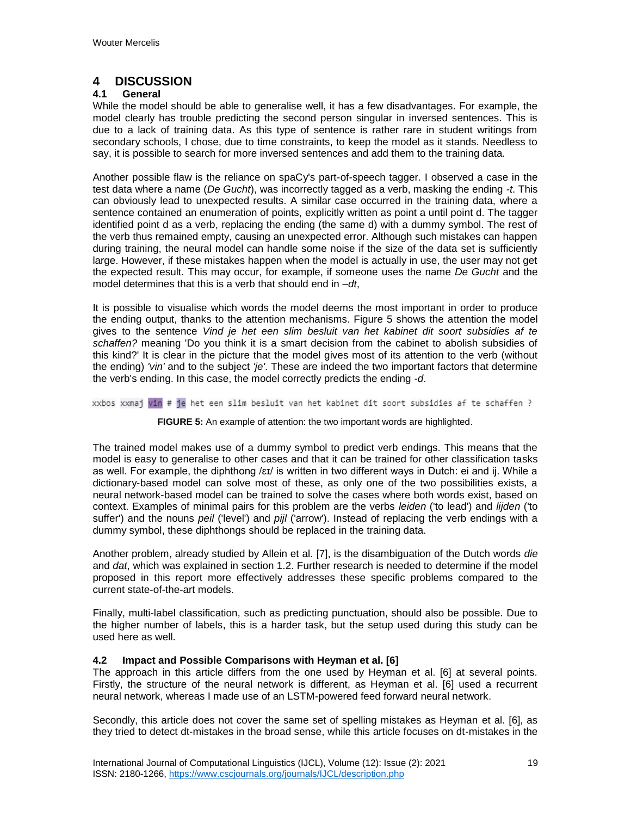## **4 DISCUSSION**

### **4.1 General**

While the model should be able to generalise well, it has a few disadvantages. For example, the model clearly has trouble predicting the second person singular in inversed sentences. This is due to a lack of training data. As this type of sentence is rather rare in student writings from secondary schools, I chose, due to time constraints, to keep the model as it stands. Needless to say, it is possible to search for more inversed sentences and add them to the training data.

Another possible flaw is the reliance on spaCy's part-of-speech tagger. I observed a case in the test data where a name (*De Gucht*), was incorrectly tagged as a verb, masking the ending *-t*. This can obviously lead to unexpected results. A similar case occurred in the training data, where a sentence contained an enumeration of points, explicitly written as point a until point d. The tagger identified point d as a verb, replacing the ending (the same d) with a dummy symbol. The rest of the verb thus remained empty, causing an unexpected error. Although such mistakes can happen during training, the neural model can handle some noise if the size of the data set is sufficiently large. However, if these mistakes happen when the model is actually in use, the user may not get the expected result. This may occur, for example, if someone uses the name *De Gucht* and the model determines that this is a verb that should end in *–dt*,

It is possible to visualise which words the model deems the most important in order to produce the ending output, thanks to the attention mechanisms. Figure 5 shows the attention the model gives to the sentence *Vind je het een slim besluit van het kabinet dit soort subsidies af te schaffen?* meaning 'Do you think it is a smart decision from the cabinet to abolish subsidies of this kind?' It is clear in the picture that the model gives most of its attention to the verb (without the ending) *'vin'* and to the subject *'je'*. These are indeed the two important factors that determine the verb's ending. In this case, the model correctly predicts the ending *-d*.

xxbos xxmaj vin # je het een slim besluit van het kabinet dit soort subsidies af te schaffen ?

### **FIGURE 5:** An example of attention: the two important words are highlighted.

The trained model makes use of a dummy symbol to predict verb endings. This means that the model is easy to generalise to other cases and that it can be trained for other classification tasks as well. For example, the diphthong /ɛɪ/ is written in two different ways in Dutch: ei and ij. While a dictionary-based model can solve most of these, as only one of the two possibilities exists, a neural network-based model can be trained to solve the cases where both words exist, based on context. Examples of minimal pairs for this problem are the verbs *leiden* ('to lead') and *lijden* ('to suffer') and the nouns *peil* ('level') and *pijl* ('arrow'). Instead of replacing the verb endings with a dummy symbol, these diphthongs should be replaced in the training data.

Another problem, already studied by Allein et al. [7], is the disambiguation of the Dutch words *die* and *dat*, which was explained in section 1.2. Further research is needed to determine if the model proposed in this report more effectively addresses these specific problems compared to the current state-of-the-art models.

Finally, multi-label classification, such as predicting punctuation, should also be possible. Due to the higher number of labels, this is a harder task, but the setup used during this study can be used here as well.

### **4.2 Impact and Possible Comparisons with Heyman et al. [6]**

The approach in this article differs from the one used by Heyman et al. [6] at several points. Firstly, the structure of the neural network is different, as Heyman et al. [6] used a recurrent neural network, whereas I made use of an LSTM-powered feed forward neural network.

Secondly, this article does not cover the same set of spelling mistakes as Heyman et al. [6], as they tried to detect dt-mistakes in the broad sense, while this article focuses on dt-mistakes in the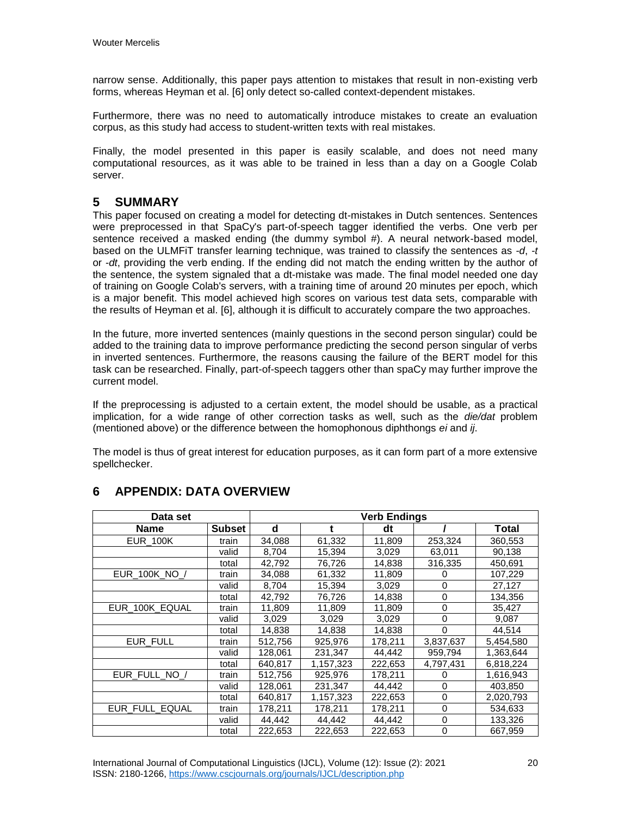narrow sense. Additionally, this paper pays attention to mistakes that result in non-existing verb forms, whereas Heyman et al. [6] only detect so-called context-dependent mistakes.

Furthermore, there was no need to automatically introduce mistakes to create an evaluation corpus, as this study had access to student-written texts with real mistakes.

Finally, the model presented in this paper is easily scalable, and does not need many computational resources, as it was able to be trained in less than a day on a Google Colab server.

## **5 SUMMARY**

This paper focused on creating a model for detecting dt-mistakes in Dutch sentences. Sentences were preprocessed in that SpaCy's part-of-speech tagger identified the verbs. One verb per sentence received a masked ending (the dummy symbol #). A neural network-based model, based on the ULMFiT transfer learning technique, was trained to classify the sentences as *-d*, *-t* or *-dt*, providing the verb ending. If the ending did not match the ending written by the author of the sentence, the system signaled that a dt-mistake was made. The final model needed one day of training on Google Colab's servers, with a training time of around 20 minutes per epoch, which is a major benefit. This model achieved high scores on various test data sets, comparable with the results of Heyman et al. [6], although it is difficult to accurately compare the two approaches.

In the future, more inverted sentences (mainly questions in the second person singular) could be added to the training data to improve performance predicting the second person singular of verbs in inverted sentences. Furthermore, the reasons causing the failure of the BERT model for this task can be researched. Finally, part-of-speech taggers other than spaCy may further improve the current model.

If the preprocessing is adjusted to a certain extent, the model should be usable, as a practical implication, for a wide range of other correction tasks as well, such as the *die/dat* problem (mentioned above) or the difference between the homophonous diphthongs *ei* and *ij*.

The model is thus of great interest for education purposes, as it can form part of a more extensive spellchecker.

| Data set        | <b>Verb Endings</b> |         |           |         |           |           |
|-----------------|---------------------|---------|-----------|---------|-----------|-----------|
| <b>Name</b>     | Subset              | d       |           | dt      |           | Total     |
| <b>EUR 100K</b> | train               | 34,088  | 61,332    | 11,809  | 253,324   | 360,553   |
|                 | valid               | 8,704   | 15,394    | 3,029   | 63,011    | 90,138    |
|                 | total               | 42,792  | 76,726    | 14,838  | 316,335   | 450,691   |
| EUR 100K NO /   | train               | 34.088  | 61.332    | 11,809  | 0         | 107,229   |
|                 | valid               | 8,704   | 15,394    | 3,029   | 0         | 27,127    |
|                 | total               | 42,792  | 76,726    | 14,838  | 0         | 134,356   |
| EUR 100K EQUAL  | train               | 11,809  | 11.809    | 11,809  | 0         | 35,427    |
|                 | valid               | 3,029   | 3,029     | 3,029   | 0         | 9,087     |
|                 | total               | 14.838  | 14,838    | 14,838  | 0         | 44.514    |
| EUR FULL        | train               | 512,756 | 925,976   | 178,211 | 3,837,637 | 5,454,580 |
|                 | valid               | 128.061 | 231,347   | 44,442  | 959,794   | 1,363,644 |
|                 | total               | 640,817 | 1,157,323 | 222,653 | 4,797,431 | 6,818,224 |
| EUR FULL NO /   | train               | 512,756 | 925,976   | 178,211 | 0         | 1,616,943 |
|                 | valid               | 128,061 | 231.347   | 44,442  | $\Omega$  | 403,850   |
|                 | total               | 640,817 | 1,157,323 | 222,653 | 0         | 2,020,793 |
| EUR FULL EQUAL  | train               | 178.211 | 178.211   | 178.211 | 0         | 534.633   |
|                 | valid               | 44,442  | 44,442    | 44,442  | $\Omega$  | 133,326   |
|                 | total               | 222,653 | 222,653   | 222,653 | 0         | 667,959   |

## **6 APPENDIX: DATA OVERVIEW**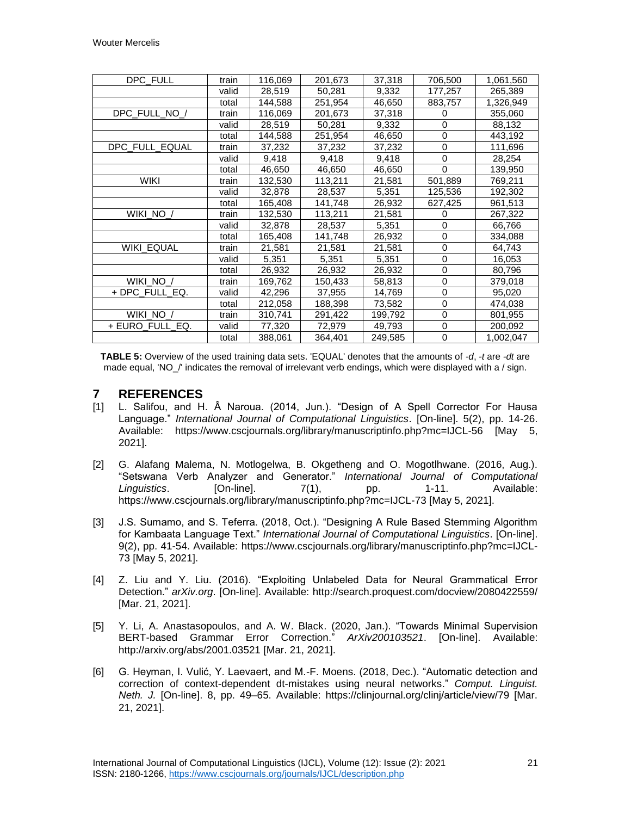| DPC_FULL             | train | 116,069 | 201,673 | 37,318  | 706,500     | 1,061,560 |
|----------------------|-------|---------|---------|---------|-------------|-----------|
|                      | valid | 28,519  | 50,281  | 9,332   | 177,257     | 265,389   |
|                      | total | 144,588 | 251,954 | 46,650  | 883,757     | 1,326,949 |
| DPC_FULL_NO_/        | train | 116,069 | 201,673 | 37,318  | 0           | 355,060   |
|                      | valid | 28,519  | 50,281  | 9,332   | 0           | 88,132    |
|                      | total | 144,588 | 251,954 | 46,650  | 0           | 443,192   |
| DPC_FULL_EQUAL       | train | 37,232  | 37,232  | 37,232  | $\mathbf 0$ | 111,696   |
|                      | valid | 9,418   | 9,418   | 9,418   | 0           | 28,254    |
|                      | total | 46,650  | 46,650  | 46,650  | 0           | 139,950   |
| <b>WIKI</b>          | train | 132,530 | 113,211 | 21,581  | 501,889     | 769,211   |
|                      | valid | 32,878  | 28,537  | 5,351   | 125,536     | 192,302   |
|                      | total | 165,408 | 141,748 | 26,932  | 627,425     | 961,513   |
| WIKI NO <sub>/</sub> | train | 132,530 | 113,211 | 21,581  | 0           | 267,322   |
|                      | valid | 32,878  | 28,537  | 5,351   | 0           | 66,766    |
|                      | total | 165,408 | 141,748 | 26,932  | 0           | 334,088   |
| WIKI_EQUAL           | train | 21,581  | 21,581  | 21,581  | 0           | 64,743    |
|                      | valid | 5,351   | 5,351   | 5,351   | 0           | 16,053    |
|                      | total | 26,932  | 26,932  | 26,932  | 0           | 80,796    |
| WIKI_NO_/            | train | 169,762 | 150,433 | 58,813  | $\mathbf 0$ | 379,018   |
| + DPC_FULL_EQ.       | valid | 42,296  | 37,955  | 14,769  | 0           | 95,020    |
|                      | total | 212,058 | 188,398 | 73,582  | 0           | 474,038   |
| WIKI_NO_/            | train | 310,741 | 291,422 | 199,792 | 0           | 801,955   |
| + EURO FULL EQ.      | valid | 77,320  | 72,979  | 49,793  | 0           | 200,092   |
|                      | total | 388,061 | 364,401 | 249,585 | 0           | 1,002,047 |

**TABLE 5:** Overview of the used training data sets. 'EQUAL' denotes that the amounts of *-d*, *-t* are *-dt* are made equal, 'NO\_/' indicates the removal of irrelevant verb endings, which were displayed with a / sign.

### **7 REFERENCES**

- [1] L. Salifou, and H. Â Naroua. (2014, Jun.). "Design of A Spell Corrector For Hausa Language." *International Journal of Computational Linguistics*. [On-line]. 5(2), pp. 14-26. Available: https://www.cscjournals.org/library/manuscriptinfo.php?mc=IJCL-56 [May 5, 2021].
- [2] G. Alafang Malema, N. Motlogelwa, B. Okgetheng and O. Mogotlhwane. (2016, Aug.). "Setswana Verb Analyzer and Generator." *International Journal of Computational Linguistics*. [On-line]. 7(1), pp. 1-11. Available: https://www.cscjournals.org/library/manuscriptinfo.php?mc=IJCL-73 [May 5, 2021].
- [3] J.S. Sumamo, and S. Teferra. (2018, Oct.). "Designing A Rule Based Stemming Algorithm for Kambaata Language Text." *International Journal of Computational Linguistics*. [On-line]. 9(2), pp. 41-54. Available: https://www.cscjournals.org/library/manuscriptinfo.php?mc=IJCL-73 [May 5, 2021].
- [4] Z. Liu and Y. Liu. (2016). "Exploiting Unlabeled Data for Neural Grammatical Error Detection." *arXiv.org*. [On-line]. Available: http://search.proquest.com/docview/2080422559/ [Mar. 21, 2021].
- [5] Y. Li, A. Anastasopoulos, and A. W. Black. (2020, Jan.). "Towards Minimal Supervision BERT-based Grammar Error Correction." *ArXiv200103521*. [On-line]. Available: http://arxiv.org/abs/2001.03521 [Mar. 21, 2021].
- [6] G. Heyman, I. Vulić, Y. Laevaert, and M.-F. Moens. (2018, Dec.). "Automatic detection and correction of context-dependent dt-mistakes using neural networks." *Comput. Linguist. Neth. J.* [On-line]. 8, pp. 49–65. Available: https://clinjournal.org/clinj/article/view/79 [Mar. 21, 2021].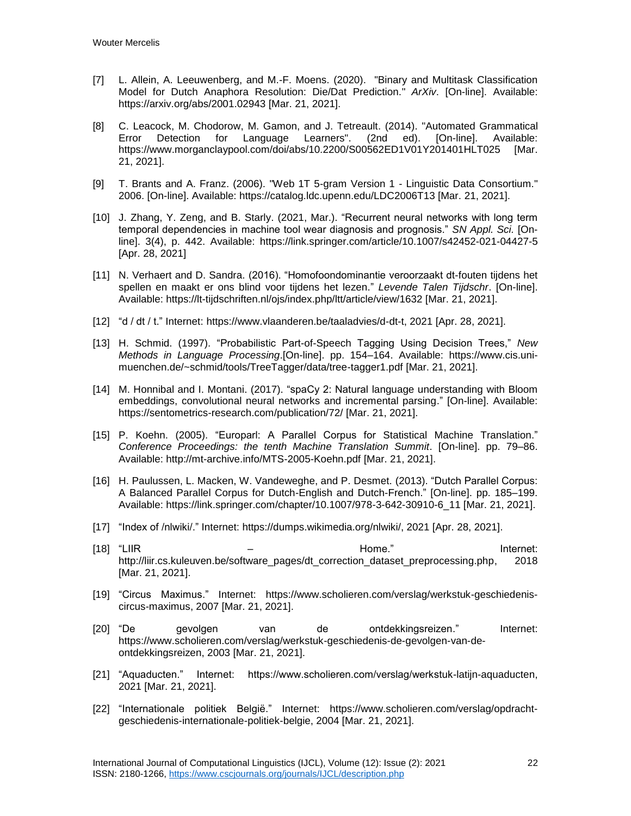- [7] L. Allein, A. Leeuwenberg, and M.-F. Moens. (2020). "Binary and Multitask Classification Model for Dutch Anaphora Resolution: Die/Dat Prediction." *ArXiv*. [On-line]. Available: https://arxiv.org/abs/2001.02943 [Mar. 21, 2021].
- [8] C. Leacock, M. Chodorow, M. Gamon, and J. Tetreault. (2014). "Automated Grammatical Error Detection for Language Learners". (2nd ed). [On-line]. Available: https://www.morganclaypool.com/doi/abs/10.2200/S00562ED1V01Y201401HLT025 [Mar. 21, 2021].
- [9] T. Brants and A. Franz. (2006). "Web 1T 5-gram Version 1 Linguistic Data Consortium." 2006. [On-line]. Available: https://catalog.ldc.upenn.edu/LDC2006T13 [Mar. 21, 2021].
- [10] J. Zhang, Y. Zeng, and B. Starly. (2021, Mar.). "Recurrent neural networks with long term temporal dependencies in machine tool wear diagnosis and prognosis." *SN Appl. Sci.* [Online]. 3(4), p. 442. Available: https://link.springer.com/article/10.1007/s42452-021-04427-5 [Apr. 28, 2021]
- [11] N. Verhaert and D. Sandra. (2016). "Homofoondominantie veroorzaakt dt-fouten tijdens het spellen en maakt er ons blind voor tijdens het lezen." *Levende Talen Tijdschr*. [On-line]. Available: https://lt-tijdschriften.nl/ojs/index.php/ltt/article/view/1632 [Mar. 21, 2021].
- [12] "d / dt / t." Internet: https://www.vlaanderen.be/taaladvies/d-dt-t, 2021 [Apr. 28, 2021].
- [13] H. Schmid. (1997). "Probabilistic Part-of-Speech Tagging Using Decision Trees," *New Methods in Language Processing*.[On-line]. pp. 154–164. Available: https://www.cis.unimuenchen.de/~schmid/tools/TreeTagger/data/tree-tagger1.pdf [Mar. 21, 2021].
- [14] M. Honnibal and I. Montani. (2017). "spaCy 2: Natural language understanding with Bloom embeddings, convolutional neural networks and incremental parsing." [On-line]. Available: https://sentometrics-research.com/publication/72/ [Mar. 21, 2021].
- [15] P. Koehn. (2005). "Europarl: A Parallel Corpus for Statistical Machine Translation." *Conference Proceedings: the tenth Machine Translation Summit*. [On-line]. pp. 79–86. Available: http://mt-archive.info/MTS-2005-Koehn.pdf [Mar. 21, 2021].
- [16] H. Paulussen, L. Macken, W. Vandeweghe, and P. Desmet. (2013). "Dutch Parallel Corpus: A Balanced Parallel Corpus for Dutch-English and Dutch-French." [On-line]. pp. 185–199. Available: https://link.springer.com/chapter/10.1007/978-3-642-30910-6\_11 [Mar. 21, 2021].
- [17] "Index of /nlwiki/." Internet: https://dumps.wikimedia.org/nlwiki/, 2021 [Apr. 28, 2021].
- [18] "LIIR Home." Internet: http://liir.cs.kuleuven.be/software\_pages/dt\_correction\_dataset\_preprocessing.php, 2018 [Mar. 21, 2021].
- [19] "Circus Maximus." Internet: https://www.scholieren.com/verslag/werkstuk-geschiedeniscircus-maximus, 2007 [Mar. 21, 2021].
- [20] "De gevolgen van de ontdekkingsreizen." Internet: https://www.scholieren.com/verslag/werkstuk-geschiedenis-de-gevolgen-van-deontdekkingsreizen, 2003 [Mar. 21, 2021].
- [21] "Aquaducten." Internet: https://www.scholieren.com/verslag/werkstuk-latijn-aquaducten, 2021 [Mar. 21, 2021].
- [22] "Internationale politiek België." Internet: https://www.scholieren.com/verslag/opdrachtgeschiedenis-internationale-politiek-belgie, 2004 [Mar. 21, 2021].